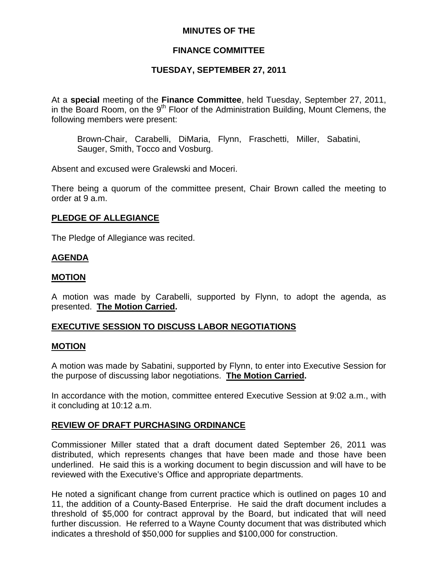## **MINUTES OF THE**

# **FINANCE COMMITTEE**

# **TUESDAY, SEPTEMBER 27, 2011**

At a **special** meeting of the **Finance Committee**, held Tuesday, September 27, 2011, in the Board Room, on the  $9<sup>th</sup>$  Floor of the Administration Building, Mount Clemens, the following members were present:

Brown-Chair, Carabelli, DiMaria, Flynn, Fraschetti, Miller, Sabatini, Sauger, Smith, Tocco and Vosburg.

Absent and excused were Gralewski and Moceri.

There being a quorum of the committee present, Chair Brown called the meeting to order at 9 a.m.

### **PLEDGE OF ALLEGIANCE**

The Pledge of Allegiance was recited.

### **AGENDA**

#### **MOTION**

A motion was made by Carabelli, supported by Flynn, to adopt the agenda, as presented. **The Motion Carried.** 

# **EXECUTIVE SESSION TO DISCUSS LABOR NEGOTIATIONS**

#### **MOTION**

A motion was made by Sabatini, supported by Flynn, to enter into Executive Session for the purpose of discussing labor negotiations. **The Motion Carried.** 

In accordance with the motion, committee entered Executive Session at 9:02 a.m., with it concluding at 10:12 a.m.

#### **REVIEW OF DRAFT PURCHASING ORDINANCE**

Commissioner Miller stated that a draft document dated September 26, 2011 was distributed, which represents changes that have been made and those have been underlined. He said this is a working document to begin discussion and will have to be reviewed with the Executive's Office and appropriate departments.

He noted a significant change from current practice which is outlined on pages 10 and 11, the addition of a County-Based Enterprise. He said the draft document includes a threshold of \$5,000 for contract approval by the Board, but indicated that will need further discussion. He referred to a Wayne County document that was distributed which indicates a threshold of \$50,000 for supplies and \$100,000 for construction.